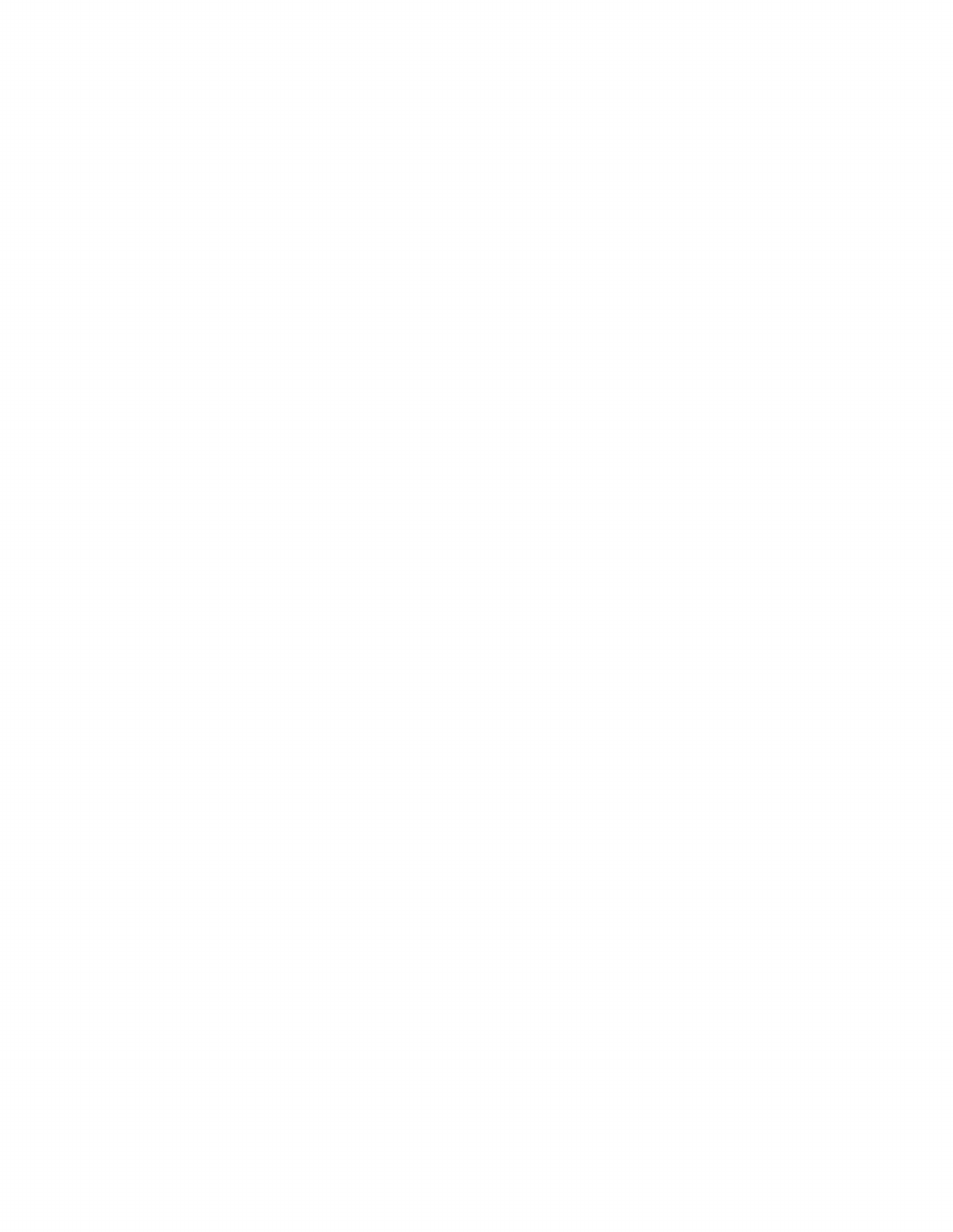## **Statement to the Vermont Senate Committee on Health and Welfare Regarding S. 239 - An act relating to the regulation of toxic substances Submitted by Ashley Orgain, Manager Mission Advocacy and Outreach, Seventh Generation January 30, 2014**

Seventh Generation is the nation's leading brand of household and personal care products designed with human health and the environment. Established in 1988, the Burlington, Vermont based company employees over 130 people, and remains an independent, privately-held company distributing products to natural food stores, supermarkets, mass merchants, and online retailers across the United States and Canada.

On behalf of all of us at Seventh Generation, I want to thank the Committee for this opportunity to testify in support of 5. 239, an act relating to the regulation of toxic substances

Thank you to Senator Lyons and the rest of the committee for your leadership on health and environmental policy. We appreciate the leadership you all have provided over a number of years to reduce exposure to toxic chemicals that harm human health, and for your continued work as reflected in S. 239.

Seventh Generation has been working passionately for years to eliminate exposure to toxic chemicals that harm human health by supporting sound state and federal toxics control legislation.

We are extremely pleased that in the last legislative session, the legislature unanimously passed a ban on the toxic flame retardant chlorinated Tris.

5. 239 provides an opportunity to move away from the chemical-by-chemical regulatory approach and advance a more systemic solution to protecting public health.

We believe the state needs to pass legislation that phases out the use of toxic substances in consumer products because federal regulation is failing to protect the health of Vermonters.

Our nation's laws on chemical safety are not working. The current federal law, the Toxic Substances Control Act (TSCA), is outdated and inadequate. As a result, tens of thousands of potentially harmful chemicals present in the marketplace when the law was enacted, and introduced to the marketplace since, are without proper testing by the companies that produce them, and without disclosure to regulators or the public by the companies that use them.

More than 30 years of environmental health studies have led to a growing consensus that chemicals are playing a role in the incidence and prevalence of many diseases and disorders in the United States, including: autism, asthma, breast cancer, leukemia, and learning and development disabilities.

In general, these and other common diseases or disorders are the result of many factors, but many chemicals, by themselves or in combination with other chemical and non-chemical factors, can be harmful to multiple systems in the body, increasing the risk of adverse health outcomes.